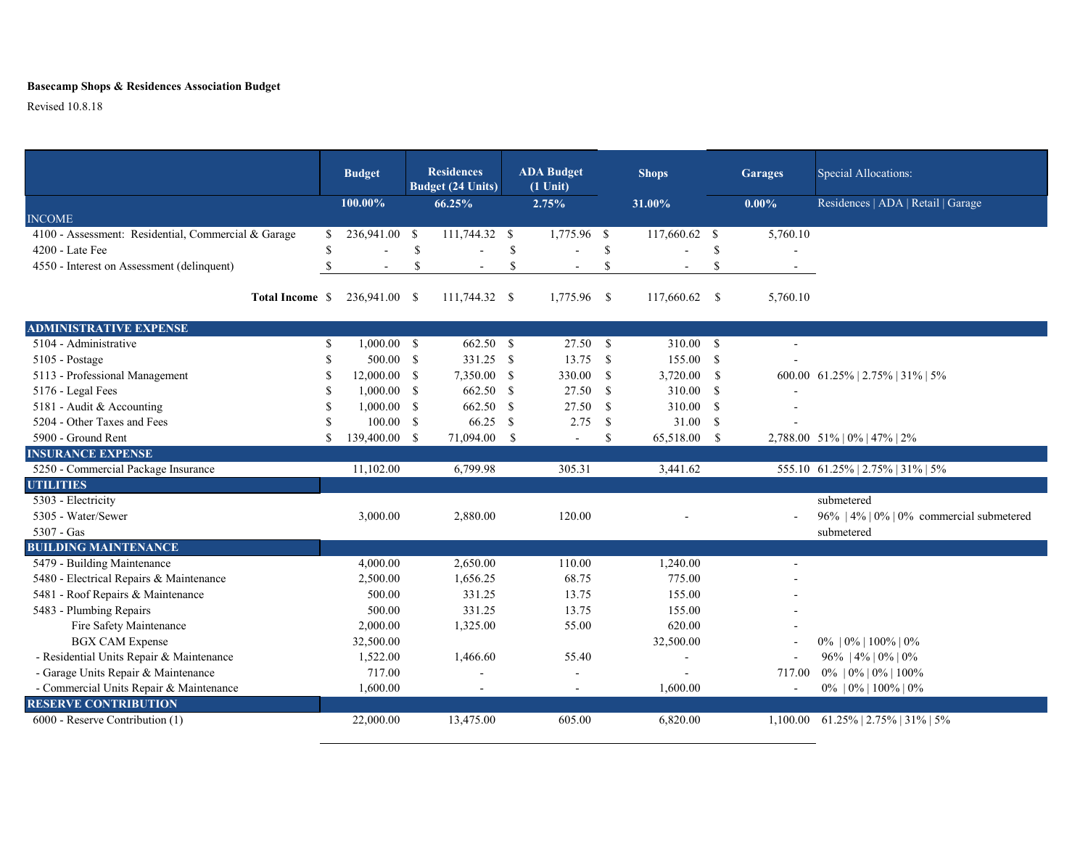## **Basecamp Shops & Residences Association Budget**

Revised 10.8.18

|                                                     |               | <b>Budget</b>  |               | <b>Residences</b><br><b>Budget (24 Units)</b> |               | <b>ADA Budget</b><br>$(1$ Unit) |               | <b>Shops</b>   |      | <b>Garages</b> | Special Allocations:                                    |  |
|-----------------------------------------------------|---------------|----------------|---------------|-----------------------------------------------|---------------|---------------------------------|---------------|----------------|------|----------------|---------------------------------------------------------|--|
|                                                     |               | 100.00%        |               | 66.25%                                        |               | 2.75%                           |               | 31.00%         |      | $0.00\%$       | Residences   ADA   Retail   Garage                      |  |
| <b>INCOME</b>                                       |               |                |               |                                               |               |                                 |               |                |      |                |                                                         |  |
| 4100 - Assessment: Residential, Commercial & Garage | \$            | 236,941.00 \$  |               | 111,744.32 \$                                 |               | 1,775.96 \$                     |               | 117,660.62 \$  |      | 5,760.10       |                                                         |  |
| 4200 - Late Fee                                     | \$            |                | \$            |                                               | <sup>\$</sup> |                                 | \$            |                | \$   |                |                                                         |  |
| 4550 - Interest on Assessment (delinquent)          | $\mathcal{S}$ | $\sim$         | <sup>\$</sup> | $\sim$                                        | <sup>\$</sup> | $\sim$                          | <sup>\$</sup> |                | \$   |                |                                                         |  |
| Total Income \$                                     |               | 236,941.00 \$  |               | 111,744.32 \$                                 |               | 1,775.96                        | $\mathbf{s}$  | 117,660.62 \$  |      | 5,760.10       |                                                         |  |
| <b>ADMINISTRATIVE EXPENSE</b>                       |               |                |               |                                               |               |                                 |               |                |      |                |                                                         |  |
| $\overline{5104}$ - Administrative                  | \$            | $1,000.00$ \$  |               | 662.50 \$                                     |               | 27.50 S                         |               | 310.00 \$      |      |                |                                                         |  |
| $5105$ - Postage                                    | \$            | 500.00 S       |               | 331.25 \$                                     |               | 13.75                           | - \$          | 155.00 S       |      |                |                                                         |  |
| 5113 - Professional Management                      | S             | $12,000.00$ \$ |               | 7,350.00 \$                                   |               | 330.00                          | - \$          | 3,720.00 \$    |      |                | 600.00 61.25%   2.75%   31%   5%                        |  |
| 5176 - Legal Fees                                   | \$            | $1,000.00$ \$  |               | 662.50 \$                                     |               | 27.50                           | - \$          | 310.00         | - \$ |                |                                                         |  |
| 5181 - Audit & Accounting                           | \$            | $1,000.00$ \$  |               | 662.50                                        | $\mathbb{S}$  | 27.50                           | -S            | 310.00 \$      |      |                |                                                         |  |
| 5204 - Other Taxes and Fees                         | \$            | $100.00$ \$    |               | 66.25                                         | <sup>S</sup>  | 2.75                            | -S            | 31.00 S        |      |                |                                                         |  |
| 5900 - Ground Rent                                  | \$.           | 139,400.00 \$  |               | 71,094.00                                     | - \$          | $\mathbf{r}$                    | \$            | 65,518.00 \$   |      |                | 2,788.00 51%   0%   47%   2%                            |  |
| <b>INSURANCE EXPENSE</b>                            |               |                |               |                                               |               |                                 |               |                |      |                |                                                         |  |
| 5250 - Commercial Package Insurance                 |               | 11,102.00      |               | 6,799.98                                      |               | 305.31                          |               | 3,441.62       |      |                | 555.10 61.25%   2.75%   31%   5%                        |  |
| <b>UTILITIES</b>                                    |               |                |               |                                               |               |                                 |               |                |      |                |                                                         |  |
| 5303 - Electricity                                  |               |                |               |                                               |               |                                 |               |                |      |                | submetered                                              |  |
| 5305 - Water/Sewer                                  |               | 3,000.00       |               | 2,880.00                                      |               | 120.00                          |               |                |      |                | 96%   4%   0%   0% commercial submetered                |  |
| 5307 - Gas                                          |               |                |               |                                               |               |                                 |               |                |      |                | submetered                                              |  |
| <b>BUILDING MAINTENANCE</b>                         |               |                |               |                                               |               |                                 |               |                |      |                |                                                         |  |
| 5479 - Building Maintenance                         |               | 4,000.00       |               | 2,650.00                                      |               | 110.00                          |               | 1,240.00       |      | $\sim$         |                                                         |  |
| 5480 - Electrical Repairs & Maintenance             |               | 2,500.00       |               | 1,656.25                                      |               | 68.75                           |               | 775.00         |      |                |                                                         |  |
| 5481 - Roof Repairs & Maintenance                   |               | 500.00         |               | 331.25                                        |               | 13.75                           |               | 155.00         |      |                |                                                         |  |
| 5483 - Plumbing Repairs                             |               | 500.00         |               | 331.25                                        |               | 13.75                           |               | 155.00         |      |                |                                                         |  |
| Fire Safety Maintenance                             |               | 2,000.00       |               | 1,325.00                                      |               | 55.00                           |               | 620.00         |      |                |                                                         |  |
| <b>BGX CAM Expense</b>                              |               | 32,500.00      |               |                                               |               |                                 |               | 32,500.00      |      |                | $0\%$   $0\%$   $100\%$   $0\%$                         |  |
| - Residential Units Repair & Maintenance            |               | 1,522.00       |               | 1,466.60                                      |               | 55.40                           |               | $\blacksquare$ |      | $\sim$         | 96%   4%   0%   0%                                      |  |
| - Garage Units Repair & Maintenance                 |               | 717.00         |               | $\sim$                                        |               | $\blacksquare$                  |               |                |      | 717.00         | $0\%$   $0\%$   $0\%$   $100\%$                         |  |
| - Commercial Units Repair & Maintenance             |               | 1,600.00       |               | $\sim$                                        |               | $\sim$                          |               | 1,600.00       |      | $\sim$         | $0\%$   $0\%$   $100\%$   $0\%$                         |  |
| <b>RESERVE CONTRIBUTION</b>                         |               |                |               |                                               |               |                                 |               |                |      |                |                                                         |  |
| 6000 - Reserve Contribution (1)                     |               | 22,000.00      |               | 13,475.00                                     |               | 605.00                          |               | 6,820.00       |      |                | $1,100.00 \quad 61.25\% \mid 2.75\% \mid 31\% \mid 5\%$ |  |